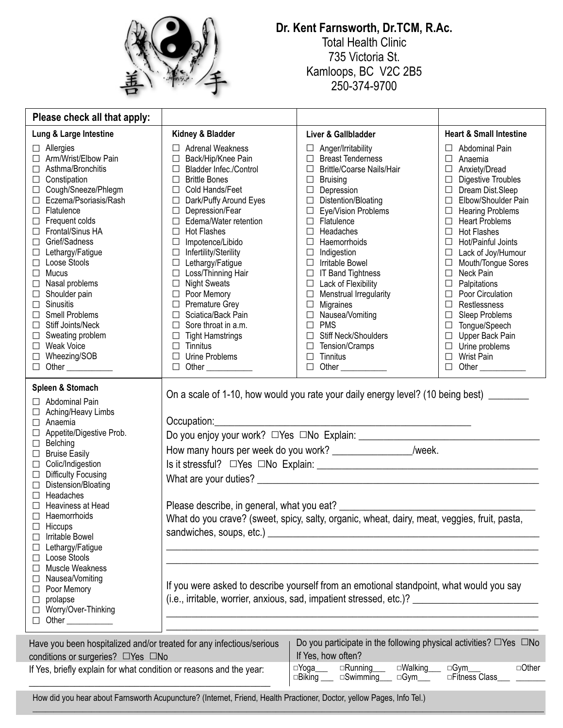

## **Dr. Kent Farnsworth, Dr.TCM, R.Ac.**

Total Health Clinic 735 Victoria St. Kamloops, BC V2C 2B5 250-374-9700

| Please check all that apply:                                                                                                                                                                                                                                                                                                                                                                                                                                                                                                                        |                                                                                                                                                                                                                                                                                                                                                                                                                                                                                                                                                                                                                                                                       |                                                                                                                                                                                                                                                                                                                                                                                                                                                                                                                                                                                                                                                        |                                                                                                                                                                                                                                                                                                                                                                                                                                                                                                                                                                                                                                         |  |  |  |
|-----------------------------------------------------------------------------------------------------------------------------------------------------------------------------------------------------------------------------------------------------------------------------------------------------------------------------------------------------------------------------------------------------------------------------------------------------------------------------------------------------------------------------------------------------|-----------------------------------------------------------------------------------------------------------------------------------------------------------------------------------------------------------------------------------------------------------------------------------------------------------------------------------------------------------------------------------------------------------------------------------------------------------------------------------------------------------------------------------------------------------------------------------------------------------------------------------------------------------------------|--------------------------------------------------------------------------------------------------------------------------------------------------------------------------------------------------------------------------------------------------------------------------------------------------------------------------------------------------------------------------------------------------------------------------------------------------------------------------------------------------------------------------------------------------------------------------------------------------------------------------------------------------------|-----------------------------------------------------------------------------------------------------------------------------------------------------------------------------------------------------------------------------------------------------------------------------------------------------------------------------------------------------------------------------------------------------------------------------------------------------------------------------------------------------------------------------------------------------------------------------------------------------------------------------------------|--|--|--|
| Lung & Large Intestine                                                                                                                                                                                                                                                                                                                                                                                                                                                                                                                              | Kidney & Bladder                                                                                                                                                                                                                                                                                                                                                                                                                                                                                                                                                                                                                                                      | Liver & Gallbladder                                                                                                                                                                                                                                                                                                                                                                                                                                                                                                                                                                                                                                    | <b>Heart &amp; Small Intestine</b>                                                                                                                                                                                                                                                                                                                                                                                                                                                                                                                                                                                                      |  |  |  |
| $\Box$ Allergies<br>Arm/Wrist/Elbow Pain<br>Asthma/Bronchitis<br>Constipation<br>⊔<br>Cough/Sneeze/Phlegm<br>⊔<br>Eczema/Psoriasis/Rash<br>$\Box$ Flatulence<br>Frequent colds<br>□<br>Frontal/Sinus HA<br>П<br>Grief/Sadness<br>□<br>Lethargy/Fatigue<br>Loose Stools<br>Mucus<br>⊔<br>Nasal problems<br>□<br>Shoulder pain<br>$\Box$<br>Sinusitis<br>$\Box$<br><b>Smell Problems</b><br>П<br><b>Stiff Joints/Neck</b><br>П<br>Sweating problem<br>□<br><b>Weak Voice</b><br>Wheezing/SOB<br>Other ___________<br>П.                               | $\Box$ Adrenal Weakness<br>Back/Hip/Knee Pain<br>$\Box$<br><b>Bladder Infec./Control</b><br>□<br><b>Brittle Bones</b><br>$\Box$<br>Cold Hands/Feet<br>$\Box$<br>Dark/Puffy Around Eyes<br>$\Box$<br>Depression/Fear<br>$\Box$<br>Edema/Water retention<br>$\Box$<br><b>Hot Flashes</b><br>$\Box$<br>Impotence/Libido<br>$\Box$<br>Infertility/Sterility<br>$\Box$<br>Lethargy/Fatigue<br>$\Box$<br>$\Box$ Loss/Thinning Hair<br><b>Night Sweats</b><br>$\Box$<br>□ Poor Memory<br><b>Premature Grey</b><br>$\Box$<br>Sciatica/Back Pain<br>$\Box$<br>$\Box$<br>Sore throat in a.m.<br><b>Tight Hamstrings</b><br>$\Box$<br>Tinnitus<br>П.<br>Urine Problems<br>$\Box$ | $\Box$ Anger/Irritability<br><b>Breast Tenderness</b><br>$\Box$<br><b>Brittle/Coarse Nails/Hair</b><br>$\Box$<br><b>Bruising</b><br>$\Box$<br>$\Box$ Depression<br>$\Box$ Distention/Bloating<br>$\Box$ Eye/Vision Problems<br>$\Box$ Flatulence<br>Headaches<br>$\Box$<br>Haemorrhoids<br>$\Box$<br>Indigestion<br><b>Irritable Bowel</b><br>$\Box$<br><b>IT Band Tightness</b><br>$\Box$<br>$\Box$ Lack of Flexibility<br>$\Box$ Menstrual Irregularity<br>$\Box$<br>Migraines<br>$\Box$ Nausea/Vomiting<br><b>PMS</b><br>$\Box$<br>Stiff Neck/Shoulders<br>$\Box$<br>$\Box$<br>Tension/Cramps<br>Tinnitus<br>$\Box$<br>Other ____________<br>$\Box$ | $\Box$ Abdominal Pain<br>$\Box$<br>Anaemia<br>$\Box$<br>Anxiety/Dread<br><b>Digestive Troubles</b><br>$\Box$<br>□ Dream Dist.Sleep<br>Elbow/Shoulder Pain<br>$\Box$<br><b>Hearing Problems</b><br>$\Box$<br>$\Box$ Heart Problems<br>$\Box$ Hot Flashes<br>Hot/Painful Joints<br>$\Box$<br>Lack of Joy/Humour<br>$\Box$<br>Mouth/Tongue Sores<br>$\Box$<br>Neck Pain<br>$\Box$<br>$\Box$<br>Palpitations<br>$\Box$<br>Poor Circulation<br>$\Box$<br>Restlessness<br>Sleep Problems<br>$\Box$<br>Tongue/Speech<br>$\Box$<br>Upper Back Pain<br>$\Box$<br>Urine problems<br>$\Box$<br>Wrist Pain<br>$\Box$<br>$\Box$<br>Other ___________ |  |  |  |
| Spleen & Stomach<br>Abdominal Pain<br>Aching/Heavy Limbs<br>Anaemia<br>Appetite/Digestive Prob.<br>□<br>Belching<br>$\Box$<br><b>Bruise Easily</b><br>$\Box$<br>Colic/Indigestion<br>$\Box$<br><b>Difficulty Focusing</b><br>□<br>Distension/Bloating<br>⊔<br>Headaches<br>П<br>Heaviness at Head<br>Haemorrhoids<br>П<br>Hiccups<br>⊔<br>Irritable Bowel<br>ப<br>Lethargy/Fatigue<br>ப<br>□ Loose Stools<br>Muscle Weakness<br>⊔<br>□ Nausea/Vomiting<br>Poor Memory<br>⊔<br>prolapse<br>⊔<br>Worry/Over-Thinking<br>⊔<br>Other ____________<br>П. | On a scale of 1-10, how would you rate your daily energy level? (10 being best) _______<br>Occupation:<br><u> 1989 - Johann Barn, mars eta bainar eta i</u><br>How many hours per week do you work? ___________________/week.<br>What do you crave? (sweet, spicy, salty, organic, wheat, dairy, meat, veggies, fruit, pasta,<br>If you were asked to describe yourself from an emotional standpoint, what would you say<br>(i.e., irritable, worrier, anxious, sad, impatient stressed, etc.)? _______________________________                                                                                                                                       |                                                                                                                                                                                                                                                                                                                                                                                                                                                                                                                                                                                                                                                        |                                                                                                                                                                                                                                                                                                                                                                                                                                                                                                                                                                                                                                         |  |  |  |

| conditions or surgeries? □Yes □No                                   | If Yes, how often?                                                                                         |        |
|---------------------------------------------------------------------|------------------------------------------------------------------------------------------------------------|--------|
| If Yes, briefly explain for what condition or reasons and the year: | ⊡Walking<br>⊡Yoga_<br>$\Box$ Running<br>□Gvm<br>$\Box$ Biking<br>□Fitness Class<br>$\Box$ Swimming<br>□Gvm | □Other |

 $\_$  , and the state of the state of the state of the state of the state of the state of the state of the state of the state of the state of the state of the state of the state of the state of the state of the state of the

How did you hear about Farnsworth Acupuncture? (Internet, Friend, Health Practioner, Doctor, yellow Pages, Info Tel.)